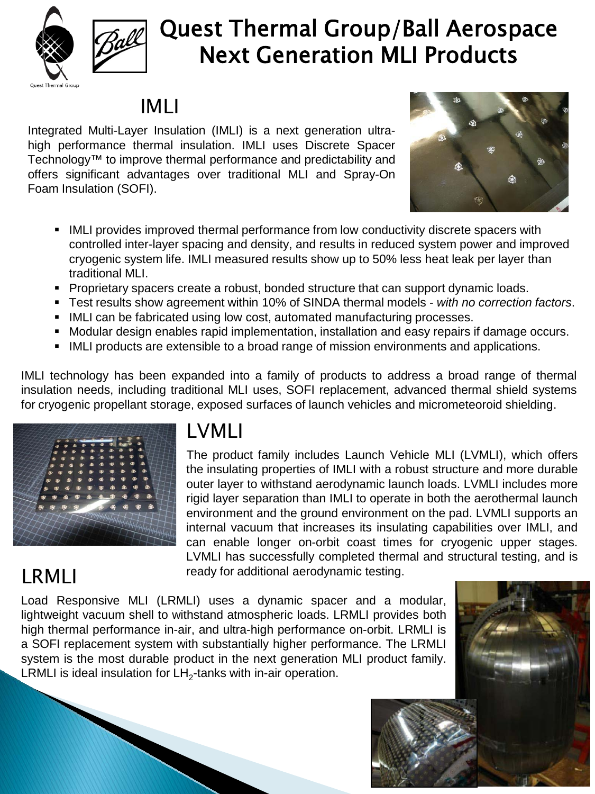

# Quest Thermal Group/Ball Aerospace Next Generation MLI Products

## IMLI

Integrated Multi-Layer Insulation (IMLI) is a next generation ultrahigh performance thermal insulation. IMLI uses Discrete Spacer Technology™ to improve thermal performance and predictability and offers significant advantages over traditional MLI and Spray-On Foam Insulation (SOFI).



- **IMLI** provides improved thermal performance from low conductivity discrete spacers with controlled inter-layer spacing and density, and results in reduced system power and improved cryogenic system life. IMLI measured results show up to 50% less heat leak per layer than traditional MLI.
- **Proprietary spacers create a robust, bonded structure that can support dynamic loads.**
- Test results show agreement within 10% of SINDA thermal models *with no correction factors*.
- **IMLI can be fabricated using low cost, automated manufacturing processes.**
- **Modular design enables rapid implementation, installation and easy repairs if damage occurs.**
- IMLI products are extensible to a broad range of mission environments and applications.

IMLI technology has been expanded into a family of products to address a broad range of thermal insulation needs, including traditional MLI uses, SOFI replacement, advanced thermal shield systems for cryogenic propellant storage, exposed surfaces of launch vehicles and micrometeoroid shielding.



### LVMLI

The product family includes Launch Vehicle MLI (LVMLI), which offers the insulating properties of IMLI with a robust structure and more durable outer layer to withstand aerodynamic launch loads. LVMLI includes more rigid layer separation than IMLI to operate in both the aerothermal launch environment and the ground environment on the pad. LVMLI supports an internal vacuum that increases its insulating capabilities over IMLI, and can enable longer on-orbit coast times for cryogenic upper stages. LVMLI has successfully completed thermal and structural testing, and is ready for additional aerodynamic testing.

## LRMLI

Load Responsive MLI (LRMLI) uses a dynamic spacer and a modular, lightweight vacuum shell to withstand atmospheric loads. LRMLI provides both high thermal performance in-air, and ultra-high performance on-orbit. LRMLI is a SOFI replacement system with substantially higher performance. The LRMLI system is the most durable product in the next generation MLI product family. LRMLI is ideal insulation for  $LH<sub>2</sub>$ -tanks with in-air operation.